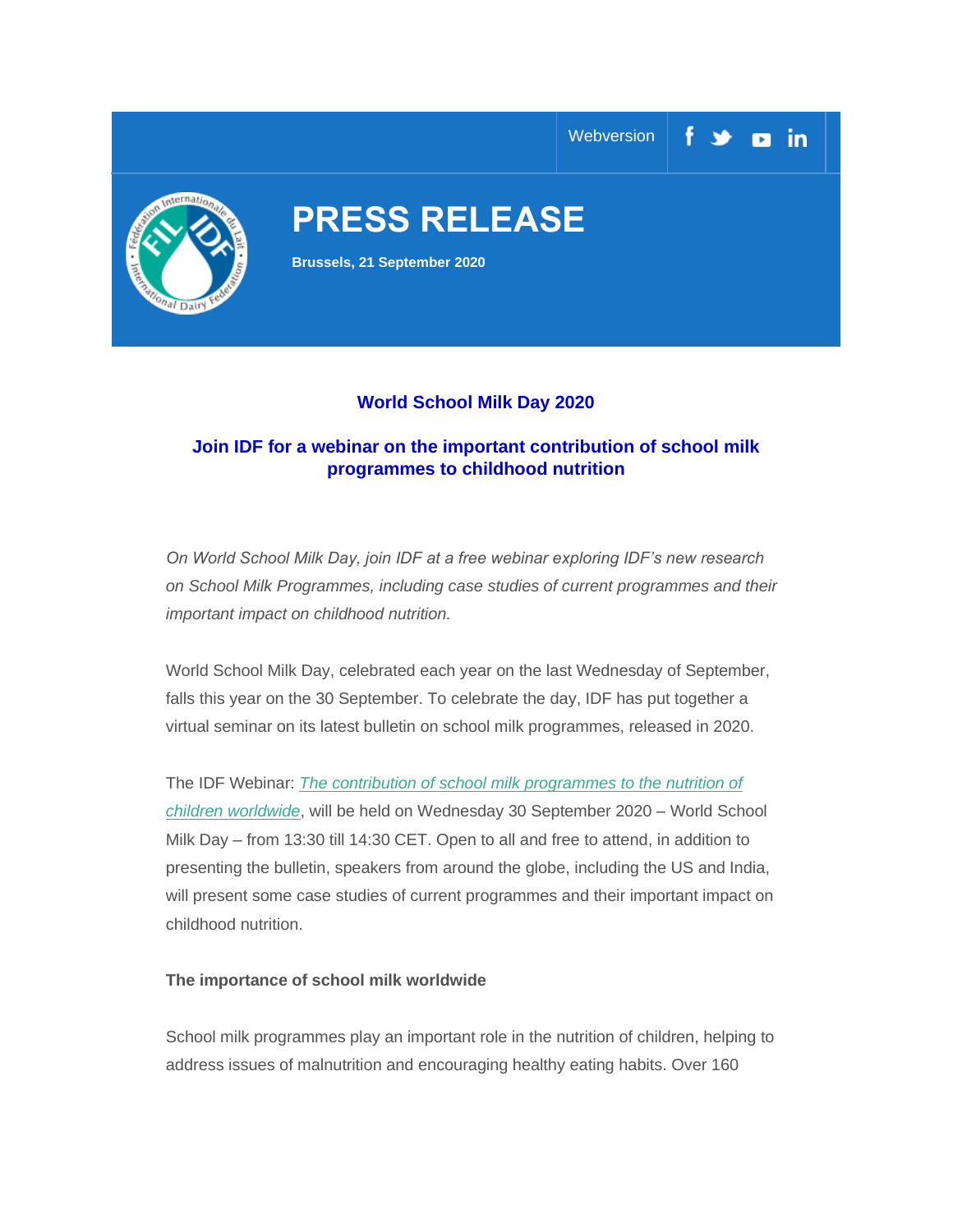

## **World School Milk Day 2020**

# **Join IDF for a webinar on the important contribution of school milk programmes to childhood nutrition**

*On World School Milk Day, join IDF at a free webinar exploring IDF's new research on School Milk Programmes, including case studies of current programmes and their important impact on childhood nutrition.*

World School Milk Day, celebrated each year on the last Wednesday of September, falls this year on the 30 September. To celebrate the day, IDF has put together a virtual seminar on its latest bulletin on school milk programmes, released in 2020.

The IDF Webinar: *[The contribution of school milk programmes to the nutrition of](https://fil-idf.us13.list-manage.com/track/click?u=655379ac300ae7f1505554aa1&id=28c6864205&e=bbfce4ba71)  [children worldwide](https://fil-idf.us13.list-manage.com/track/click?u=655379ac300ae7f1505554aa1&id=28c6864205&e=bbfce4ba71)*, will be held on Wednesday 30 September 2020 – World School Milk Day – from 13:30 till 14:30 CET. Open to all and free to attend, in addition to presenting the bulletin, speakers from around the globe, including the US and India, will present some case studies of current programmes and their important impact on childhood nutrition.

### **The importance of school milk worldwide**

School milk programmes play an important role in the nutrition of children, helping to address issues of malnutrition and encouraging healthy eating habits. Over 160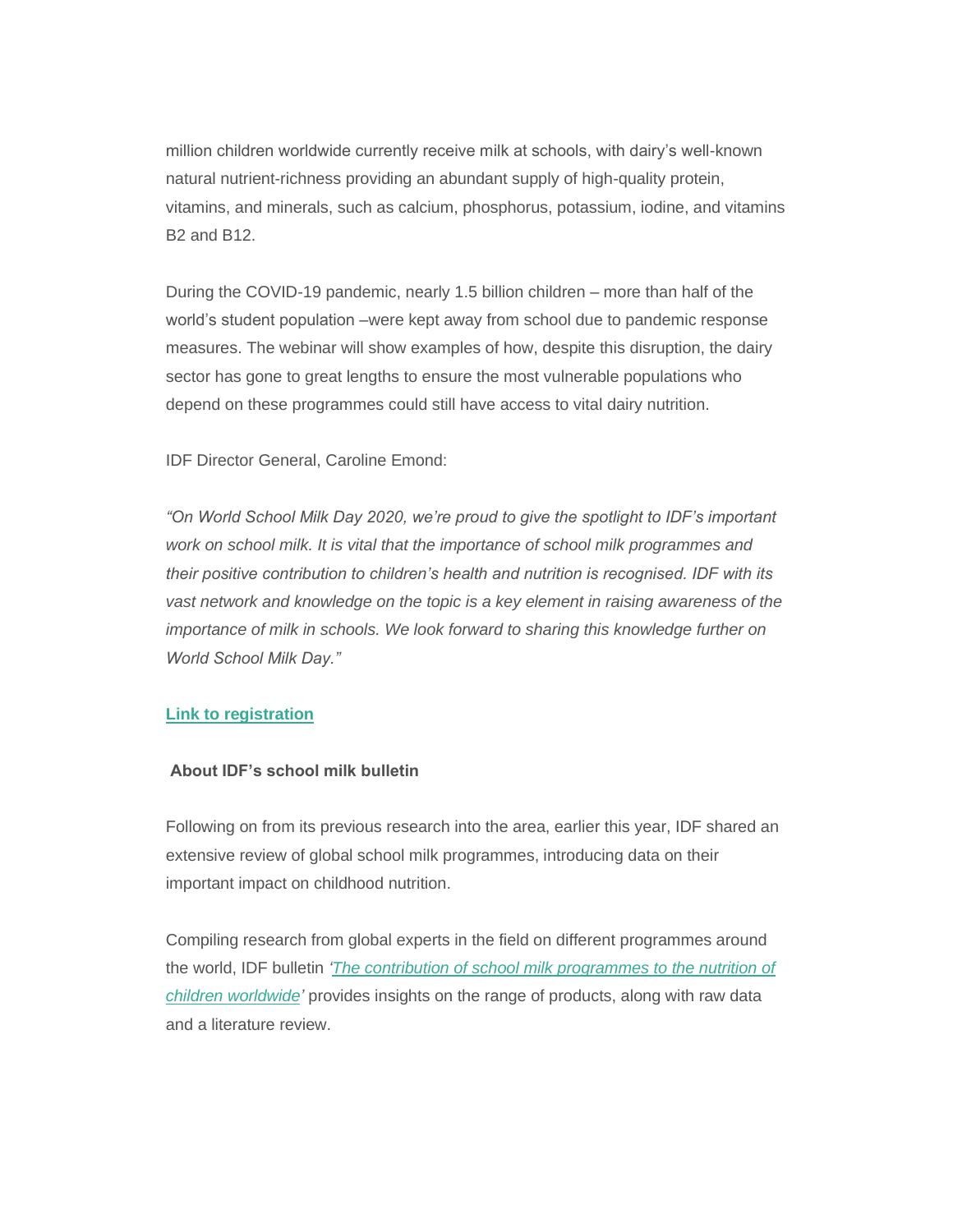million children worldwide currently receive milk at schools, with dairy's well-known natural nutrient-richness providing an abundant supply of high-quality protein, vitamins, and minerals, such as calcium, phosphorus, potassium, iodine, and vitamins B2 and B12.

During the COVID-19 pandemic, nearly 1.5 billion children – more than half of the world's student population –were kept away from school due to pandemic response measures. The webinar will show examples of how, despite this disruption, the dairy sector has gone to great lengths to ensure the most vulnerable populations who depend on these programmes could still have access to vital dairy nutrition.

IDF Director General, Caroline Emond:

*"On World School Milk Day 2020, we're proud to give the spotlight to IDF's important work on school milk. It is vital that the importance of school milk programmes and their positive contribution to children's health and nutrition is recognised. IDF with its vast network and knowledge on the topic is a key element in raising awareness of the importance of milk in schools. We look forward to sharing this knowledge further on World School Milk Day."*

#### **[Link to registration](https://fil-idf.us13.list-manage.com/track/click?u=655379ac300ae7f1505554aa1&id=cf9dc70b8c&e=bbfce4ba71)**

#### **About IDF's school milk bulletin**

Following on from its previous research into the area, earlier this year, IDF shared an extensive review of global school milk programmes, introducing data on their important impact on childhood nutrition.

Compiling research from global experts in the field on different programmes around the world, IDF bulletin *['The contribution of school milk programmes to the nutrition of](https://fil-idf.us13.list-manage.com/track/click?u=655379ac300ae7f1505554aa1&id=0a516d0ece&e=bbfce4ba71)  [children worldwide'](https://fil-idf.us13.list-manage.com/track/click?u=655379ac300ae7f1505554aa1&id=0a516d0ece&e=bbfce4ba71)* provides insights on the range of products, along with raw data and a literature review.